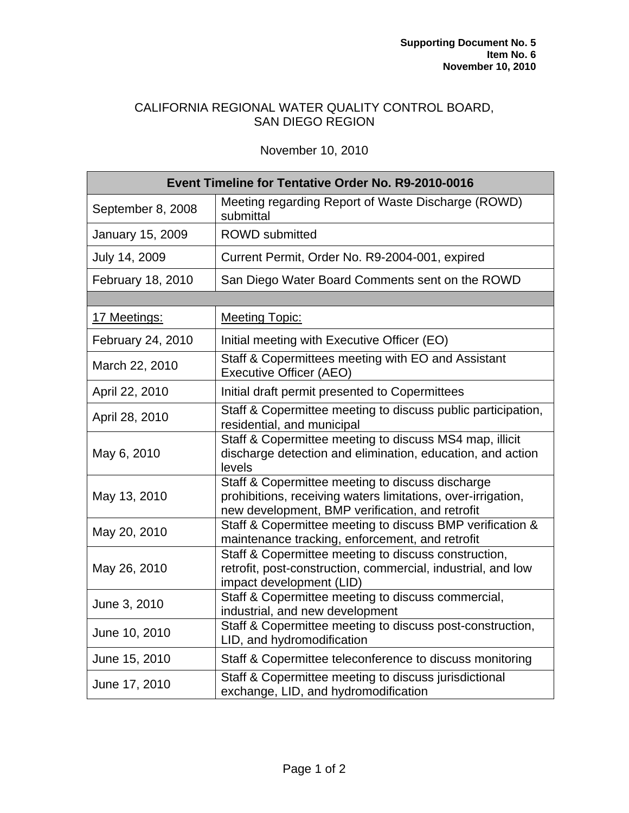## CALIFORNIA REGIONAL WATER QUALITY CONTROL BOARD, SAN DIEGO REGION

## November 10, 2010

| <b>Event Timeline for Tentative Order No. R9-2010-0016</b> |                                                                                                                                                                     |
|------------------------------------------------------------|---------------------------------------------------------------------------------------------------------------------------------------------------------------------|
| September 8, 2008                                          | Meeting regarding Report of Waste Discharge (ROWD)<br>submittal                                                                                                     |
| January 15, 2009                                           | <b>ROWD</b> submitted                                                                                                                                               |
| July 14, 2009                                              | Current Permit, Order No. R9-2004-001, expired                                                                                                                      |
| February 18, 2010                                          | San Diego Water Board Comments sent on the ROWD                                                                                                                     |
|                                                            |                                                                                                                                                                     |
| 17 Meetings:                                               | <b>Meeting Topic:</b>                                                                                                                                               |
| February 24, 2010                                          | Initial meeting with Executive Officer (EO)                                                                                                                         |
| March 22, 2010                                             | Staff & Copermittees meeting with EO and Assistant<br><b>Executive Officer (AEO)</b>                                                                                |
| April 22, 2010                                             | Initial draft permit presented to Copermittees                                                                                                                      |
| April 28, 2010                                             | Staff & Copermittee meeting to discuss public participation,<br>residential, and municipal                                                                          |
| May 6, 2010                                                | Staff & Copermittee meeting to discuss MS4 map, illicit<br>discharge detection and elimination, education, and action<br>levels                                     |
| May 13, 2010                                               | Staff & Copermittee meeting to discuss discharge<br>prohibitions, receiving waters limitations, over-irrigation,<br>new development, BMP verification, and retrofit |
| May 20, 2010                                               | Staff & Copermittee meeting to discuss BMP verification &<br>maintenance tracking, enforcement, and retrofit                                                        |
| May 26, 2010                                               | Staff & Copermittee meeting to discuss construction,<br>retrofit, post-construction, commercial, industrial, and low<br>impact development (LID)                    |
| June 3, 2010                                               | Staff & Copermittee meeting to discuss commercial,<br>industrial, and new development                                                                               |
| June 10, 2010                                              | Staff & Copermittee meeting to discuss post-construction,<br>LID, and hydromodification                                                                             |
| June 15, 2010                                              | Staff & Copermittee teleconference to discuss monitoring                                                                                                            |
| June 17, 2010                                              | Staff & Copermittee meeting to discuss jurisdictional<br>exchange, LID, and hydromodification                                                                       |